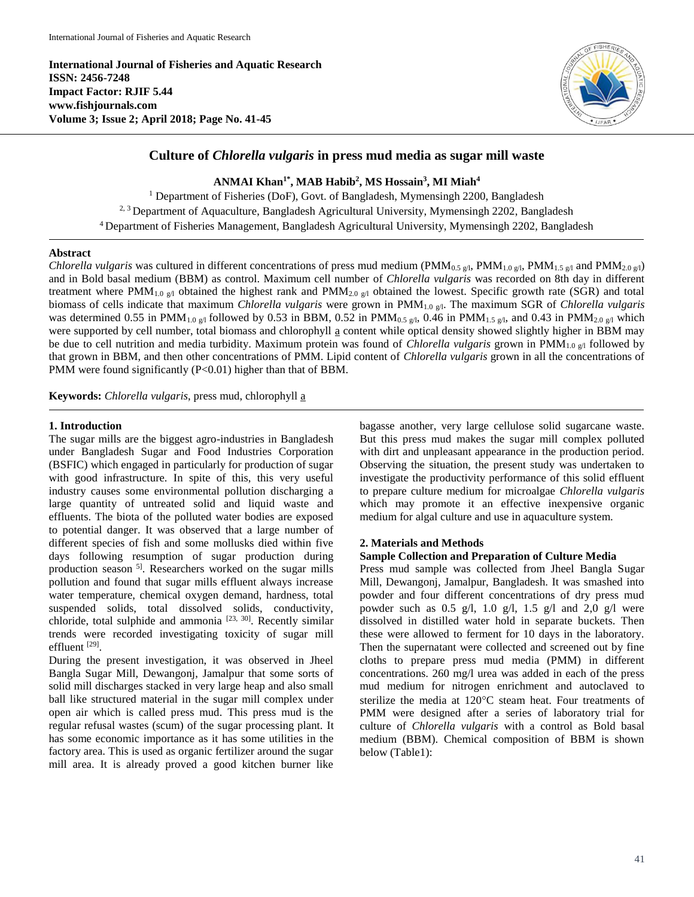**International Journal of Fisheries and Aquatic Research ISSN: 2456-7248 Impact Factor: RJIF 5.44 www.fishjournals.com Volume 3; Issue 2; April 2018; Page No. 41-45**



# **Culture of** *Chlorella vulgaris* **in press mud media as sugar mill waste**

**ANMAI Khan1\*, MAB Habib<sup>2</sup> , MS Hossain<sup>3</sup> , MI Miah<sup>4</sup>**

<sup>1</sup> Department of Fisheries (DoF), Govt. of Bangladesh, Mymensingh 2200, Bangladesh <sup>2, 3</sup> Department of Aquaculture, Bangladesh Agricultural University, Mymensingh 2202, Bangladesh <sup>4</sup>Department of Fisheries Management, Bangladesh Agricultural University, Mymensingh 2202, Bangladesh

#### **Abstract**

*Chlorella vulgaris* was cultured in different concentrations of press mud medium (PMM<sub>0.5 g/l</sub>, PMM<sub>1.0 g/l</sub>, PMM<sub>1.5 g/l</sub> and PMM<sub>2.0 g/l</sub>) and in Bold basal medium (BBM) as control. Maximum cell number of *Chlorella vulgaris* was recorded on 8th day in different treatment where PMM<sub>1.0 g/l</sub> obtained the highest rank and PMM<sub>2.0 g/l</sub> obtained the lowest. Specific growth rate (SGR) and total biomass of cells indicate that maximum *Chlorella vulgaris* were grown in PMM<sub>1.0 g</sub><sub>1</sub>. The maximum SGR of *Chlorella vulgaris* was determined 0.55 in PMM<sub>1.0 g/l</sub> followed by 0.53 in BBM, 0.52 in PMM<sub>0.5 g/l</sub>, 0.46 in PMM<sub>1.5 g/l</sub>, and 0.43 in PMM<sub>2.0 g/l</sub> which were supported by cell number, total biomass and chlorophyll a content while optical density showed slightly higher in BBM may be due to cell nutrition and media turbidity. Maximum protein was found of *Chlorella vulgaris* grown in PMM<sub>1.0  $\sigma$ <sub>1</sub> followed by</sub> that grown in BBM, and then other concentrations of PMM. Lipid content of *Chlorella vulgaris* grown in all the concentrations of PMM were found significantly (P<0.01) higher than that of BBM.

**Keywords:** *Chlorella vulgaris*, press mud, chlorophyll a

### **1. Introduction**

The sugar mills are the biggest agro-industries in Bangladesh under Bangladesh Sugar and Food Industries Corporation (BSFIC) which engaged in particularly for production of sugar with good infrastructure. In spite of this, this very useful industry causes some environmental pollution discharging a large quantity of untreated solid and liquid waste and effluents. The biota of the polluted water bodies are exposed to potential danger. It was observed that a large number of different species of fish and some mollusks died within five days following resumption of sugar production during production season<sup>5]</sup>. Researchers worked on the sugar mills pollution and found that sugar mills effluent always increase water temperature, chemical oxygen demand, hardness, total suspended solids, total dissolved solids, conductivity, chloride, total sulphide and ammonia [23, 30]. Recently similar trends were recorded investigating toxicity of sugar mill effluent<sup>[29]</sup>.

During the present investigation, it was observed in Jheel Bangla Sugar Mill, Dewangonj, Jamalpur that some sorts of solid mill discharges stacked in very large heap and also small ball like structured material in the sugar mill complex under open air which is called press mud. This press mud is the regular refusal wastes (scum) of the sugar processing plant. It has some economic importance as it has some utilities in the factory area. This is used as organic fertilizer around the sugar mill area. It is already proved a good kitchen burner like

bagasse another, very large cellulose solid sugarcane waste. But this press mud makes the sugar mill complex polluted with dirt and unpleasant appearance in the production period. Observing the situation, the present study was undertaken to investigate the productivity performance of this solid effluent to prepare culture medium for microalgae *Chlorella vulgaris* which may promote it an effective inexpensive organic medium for algal culture and use in aquaculture system.

#### **2. Materials and Methods**

#### **Sample Collection and Preparation of Culture Media**

Press mud sample was collected from Jheel Bangla Sugar Mill, Dewangonj, Jamalpur, Bangladesh. It was smashed into powder and four different concentrations of dry press mud powder such as  $0.5$  g/l,  $1.0$  g/l,  $1.5$  g/l and  $2.0$  g/l were dissolved in distilled water hold in separate buckets. Then these were allowed to ferment for 10 days in the laboratory. Then the supernatant were collected and screened out by fine cloths to prepare press mud media (PMM) in different concentrations. 260 mg/l urea was added in each of the press mud medium for nitrogen enrichment and autoclaved to sterilize the media at  $120^{\circ}$ C steam heat. Four treatments of PMM were designed after a series of laboratory trial for culture of *Chlorella vulgaris* with a control as Bold basal medium (BBM). Chemical composition of BBM is shown below (Table1):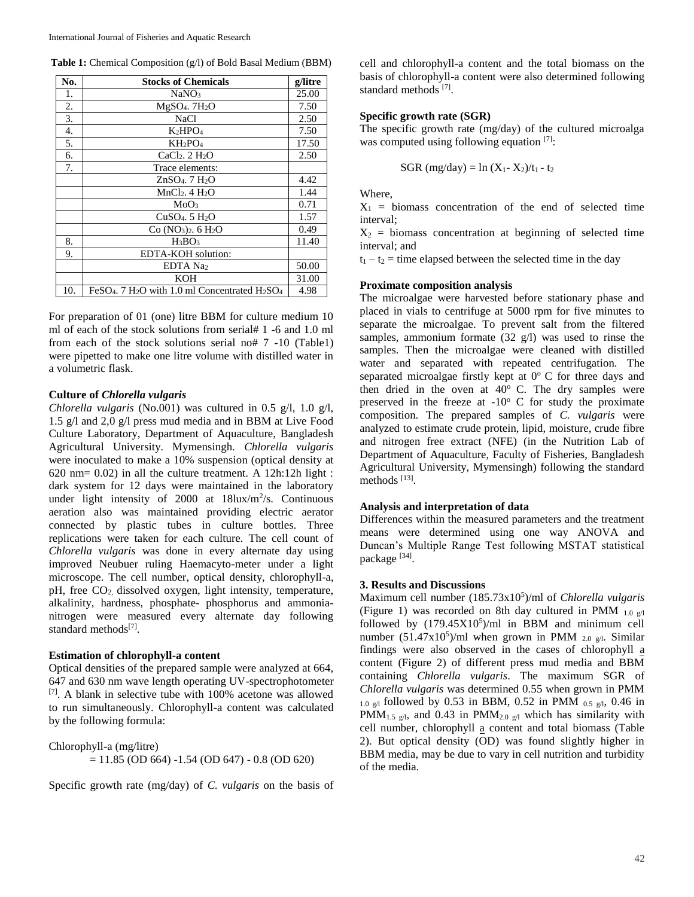| No. | <b>Stocks of Chemicals</b>                                                                     | g/litre |
|-----|------------------------------------------------------------------------------------------------|---------|
| 1.  | NaNO <sub>3</sub>                                                                              | 25.00   |
| 2.  | $MgSO4$ . 7H <sub>2</sub> O                                                                    | 7.50    |
| 3.  | <b>NaCl</b>                                                                                    | 2.50    |
| 4.  | $K_2HPO_4$                                                                                     | 7.50    |
| 5.  | $KH_2PO_4$                                                                                     | 17.50   |
| 6.  | $CaCl2$ . $2 H2O$                                                                              | 2.50    |
| 7.  | Trace elements:                                                                                |         |
|     | ZnSO <sub>4</sub> . 7 H <sub>2</sub> O                                                         | 4.42    |
|     | $MnCl2$ . 4 H <sub>2</sub> O                                                                   | 1.44    |
|     | MoO <sub>3</sub>                                                                               | 0.71    |
|     | $CuSO4$ . 5 $H2O$                                                                              | 1.57    |
|     | $Co (NO3)2$ . 6 H <sub>2</sub> O                                                               | 0.49    |
| 8.  | $H_3BO_3$                                                                                      | 11.40   |
| 9.  | EDTA-KOH solution:                                                                             |         |
|     | EDTA Na <sub>2</sub>                                                                           | 50.00   |
|     | KOH                                                                                            | 31.00   |
| 10. | FeSO <sub>4</sub> . 7 H <sub>2</sub> O with 1.0 ml Concentrated H <sub>2</sub> SO <sub>4</sub> | 4.98    |

For preparation of 01 (one) litre BBM for culture medium 10 ml of each of the stock solutions from serial# 1 -6 and 1.0 ml from each of the stock solutions serial no# 7 -10 (Table1) were pipetted to make one litre volume with distilled water in a volumetric flask.

### **Culture of** *Chlorella vulgaris*

*Chlorella vulgaris* (No.001) was cultured in 0.5 g/l, 1.0 g/l, 1.5 g/l and 2,0 g/l press mud media and in BBM at Live Food Culture Laboratory, Department of Aquaculture, Bangladesh Agricultural University. Mymensingh. *Chlorella vulgaris* were inoculated to make a 10% suspension (optical density at 620 nm= 0.02) in all the culture treatment. A 12h:12h light : dark system for 12 days were maintained in the laboratory under light intensity of 2000 at  $18$ lux/m<sup>2</sup>/s. Continuous aeration also was maintained providing electric aerator connected by plastic tubes in culture bottles. Three replications were taken for each culture. The cell count of *Chlorella vulgaris* was done in every alternate day using improved Neubuer ruling Haemacyto-meter under a light microscope. The cell number, optical density, chlorophyll-a, pH, free CO<sub>2</sub> dissolved oxygen, light intensity, temperature, alkalinity, hardness, phosphate- phosphorus and ammonianitrogen were measured every alternate day following standard methods<sup>[7]</sup>.

# **Estimation of chlorophyll-a content**

Optical densities of the prepared sample were analyzed at 664, 647 and 630 nm wave length operating UV-spectrophotometer [7] . A blank in selective tube with 100% acetone was allowed to run simultaneously. Chlorophyll-a content was calculated by the following formula:

# Chlorophyll-a (mg/litre)

= 11.85 (OD 664) -1.54 (OD 647) - 0.8 (OD 620)

Specific growth rate (mg/day) of *C. vulgaris* on the basis of

cell and chlorophyll-a content and the total biomass on the basis of chlorophyll-a content were also determined following standard methods [7].

# **Specific growth rate (SGR)**

The specific growth rate (mg/day) of the cultured microalga was computed using following equation [7]:

SGR (mg/day) = ln (X1- X2)/t1 - t<sup>2</sup>

Where,

 $X_1$  = biomass concentration of the end of selected time interval;

 $X_2$  = biomass concentration at beginning of selected time interval; and

 $t_1 - t_2$  = time elapsed between the selected time in the day

### **Proximate composition analysis**

The microalgae were harvested before stationary phase and placed in vials to centrifuge at 5000 rpm for five minutes to separate the microalgae. To prevent salt from the filtered samples, ammonium formate (32 g/l) was used to rinse the samples. Then the microalgae were cleaned with distilled water and separated with repeated centrifugation. The separated microalgae firstly kept at  $0^{\circ}$  C for three days and then dried in the oven at  $40^{\circ}$  C. The dry samples were preserved in the freeze at  $-10^{\circ}$  C for study the proximate composition. The prepared samples of *C. vulgaris* were analyzed to estimate crude protein, lipid, moisture, crude fibre and nitrogen free extract (NFE) (in the Nutrition Lab of Department of Aquaculture, Faculty of Fisheries, Bangladesh Agricultural University, Mymensingh) following the standard methods [13] .

### **Analysis and interpretation of data**

Differences within the measured parameters and the treatment means were determined using one way ANOVA and Duncan's Multiple Range Test following MSTAT statistical package [34].

# **3. Results and Discussions**

Maximum cell number (185.73x10<sup>5</sup> )/ml of *Chlorella vulgaris* (Figure 1) was recorded on 8th day cultured in PMM 1.0 g/l followed by  $(179.45X10<sup>5</sup>)/ml$  in BBM and minimum cell number  $(51.47 \times 10^5)$ /ml when grown in PMM  $_{2.0 \text{ g/l}}$ . Similar findings were also observed in the cases of chlorophyll a content (Figure 2) of different press mud media and BBM containing *Chlorella vulgaris*. The maximum SGR of *Chlorella vulgaris* was determined 0.55 when grown in PMM 1.0 g/l followed by 0.53 in BBM, 0.52 in PMM  $_{0.5}$  g/l, 0.46 in PMM<sub>1.5 g/l</sub>, and 0.43 in PMM<sub>2.0 g/l</sub> which has similarity with cell number, chlorophyll a content and total biomass (Table 2). But optical density (OD) was found slightly higher in BBM media, may be due to vary in cell nutrition and turbidity of the media.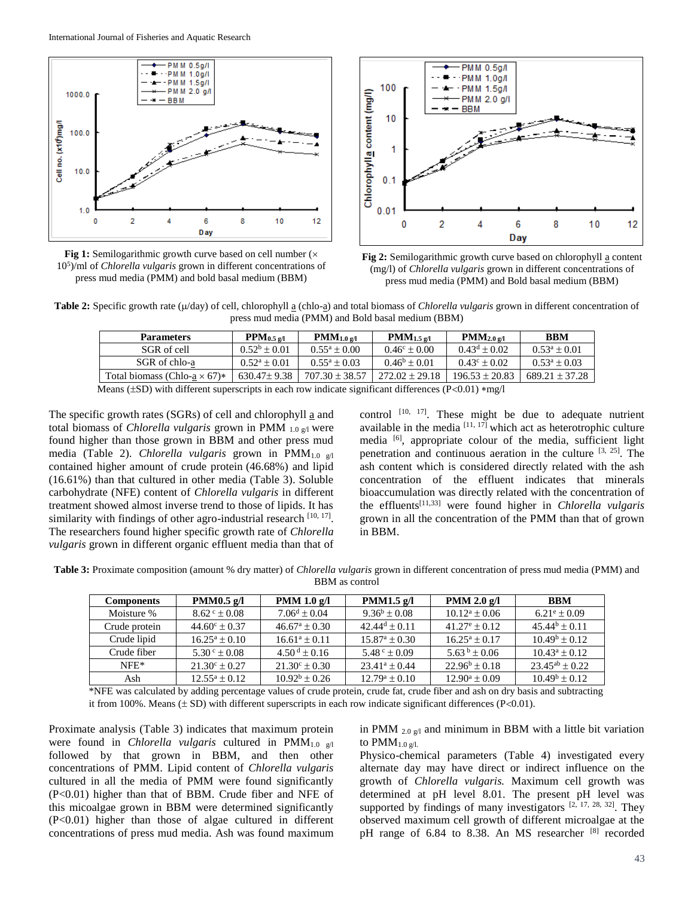

**Fig 1:** Semilogarithmic growth curve based on cell number ( $\times$ 10<sup>5</sup> )/ml of *Chlorella vulgaris* grown in different concentrations of press mud media (PMM) and bold basal medium (BBM)



**Fig 2:** Semilogarithmic growth curve based on chlorophyll a content (mg/l) of *Chlorella vulgaris* grown in different concentrations of press mud media (PMM) and Bold basal medium (BBM)

**Table 2:** Specific growth rate ( $\mu$ /day) of cell, chlorophyll a (chlo-a) and total biomass of *Chlorella vulgaris* grown in different concentration of press mud media (PMM) and Bold basal medium (BBM)

| <b>Parameters</b>                   | $PPM_{0.5\,\text{g/l}}$ | $PMM_{1.0\,\text{g/l}}$ | $PMM_{1.5\,\text{g/l}}$ | $PMM_{2.0\,\text{g/l}}$ | <b>BBM</b>         |
|-------------------------------------|-------------------------|-------------------------|-------------------------|-------------------------|--------------------|
| SGR of cell                         | $0.52^b \pm 0.01$       | $0.55^a \pm 0.00$       | $0.46^{\circ} \pm 0.00$ | $0.43^d + 0.02$         | $0.53^a \pm 0.01$  |
| SGR of chlo-a                       | $0.52^a \pm 0.01$       | $0.55^a \pm 0.03$       | $0.46^b \pm 0.01$       | $0.43^{\circ} \pm 0.02$ | $0.53^a \pm 0.03$  |
| Total biomass (Chlo-a $\times$ 67)* | $630.47 \pm 9.38$       | $707.30 \pm 38.57$      | $272.02 \pm 29.18$      | $196.53 \pm 20.83$      | $689.21 \pm 37.28$ |

Means ( $\pm$ SD) with different superscripts in each row indicate significant differences (P<0.01) \*mg/l

The specific growth rates (SGRs) of cell and chlorophyll a and total biomass of *Chlorella vulgaris* grown in PMM 1.0 g/l were found higher than those grown in BBM and other press mud media (Table 2). *Chlorella vulgaris* grown in PMM1.0 g/l contained higher amount of crude protein (46.68%) and lipid (16.61%) than that cultured in other media (Table 3). Soluble carbohydrate (NFE) content of *Chlorella vulgaris* in different treatment showed almost inverse trend to those of lipids. It has similarity with findings of other agro-industrial research  $[10, 17]$ . The researchers found higher specific growth rate of *Chlorella vulgaris* grown in different organic effluent media than that of

control  $[10, 17]$ . These might be due to adequate nutrient available in the media  $[11, 17]$  which act as heterotrophic culture media [6], appropriate colour of the media, sufficient light penetration and continuous aeration in the culture  $[3, 25]$ . The ash content which is considered directly related with the ash concentration of the effluent indicates that minerals bioaccumulation was directly related with the concentration of the effluents[11,33] were found higher in *Chlorella vulgaris* grown in all the concentration of the PMM than that of grown in BBM.

**Table 3:** Proximate composition (amount % dry matter) of *Chlorella vulgaris* grown in different concentration of press mud media (PMM) and BBM as control

| <b>Components</b> | PMM $0.5$ g/l            | PMM $1.0$ g/l                | PMM1.5 $g/l$                     | PMM $2.0 \text{ g/l}$    | <b>BBM</b>               |
|-------------------|--------------------------|------------------------------|----------------------------------|--------------------------|--------------------------|
| Moisture %        | $8.62^{\circ} \pm 0.08$  | $7.06^d \pm 0.04$            | $9.36^b \pm 0.08$                | $10.12^a \pm 0.06$       | $6.21^{\circ} \pm 0.09$  |
| Crude protein     | $44.60^{\circ} \pm 0.37$ | $46.67^{\circ} \pm 0.30$     | $42.44^d \pm 0.11$               | $41.27^{\circ} \pm 0.12$ | $45.44^b \pm 0.11$       |
| Crude lipid       | $16.25^a \pm 0.10$       | $16.61^a \pm 0.11$           | $15.87^{\rm a} \pm 0.30^{\rm b}$ | $16.25^a + 0.17$         | $10.49^{\rm b} \pm 0.12$ |
| Crude fiber       | $5.30^{\circ} \pm 0.08$  | $4.50^{\mathrm{d}} \pm 0.16$ | $5.48^{\circ} \pm 0.09$          | $5.63^{b} \pm 0.06$      | $10.43^a \pm 0.12$       |
| $NFE*$            | $21.30^{\circ} \pm 0.27$ | $21.30^{\circ} \pm 0.30$     | $23.41^a + 0.44$                 | $22.96^b \pm 0.18$       | $23.45^{ab} \pm 0.22$    |
| Ash               | $12.55^a \pm 0.12$       | $10.92^b \pm 0.26$           | $12.79^a \pm 0.10$               | $12.90^a \pm 0.09$       | $10.49^{\rm b} \pm 0.12$ |

\*NFE was calculated by adding percentage values of crude protein, crude fat, crude fiber and ash on dry basis and subtracting it from 100%. Means  $(\pm SD)$  with different superscripts in each row indicate significant differences (P<0.01).

Proximate analysis (Table 3) indicates that maximum protein were found in *Chlorella vulgaris* cultured in PMM<sub>1.0 g/l</sub> followed by that grown in BBM, and then other concentrations of PMM. Lipid content of *Chlorella vulgaris* cultured in all the media of PMM were found significantly (P<0.01) higher than that of BBM. Crude fiber and NFE of this micoalgae grown in BBM were determined significantly (P<0.01) higher than those of algae cultured in different concentrations of press mud media. Ash was found maximum

in PMM  $_{2.0 \text{ g/l}}$  and minimum in BBM with a little bit variation to  $PMM_{1.0 \text{ g/l.}}$ 

Physico-chemical parameters (Table 4) investigated every alternate day may have direct or indirect influence on the growth of *Chlorella vulgaris.* Maximum cell growth was determined at pH level 8.01. The present pH level was supported by findings of many investigators [2, 17, 28, 32]. They observed maximum cell growth of different microalgae at the pH range of 6.84 to 8.38. An MS researcher [8] recorded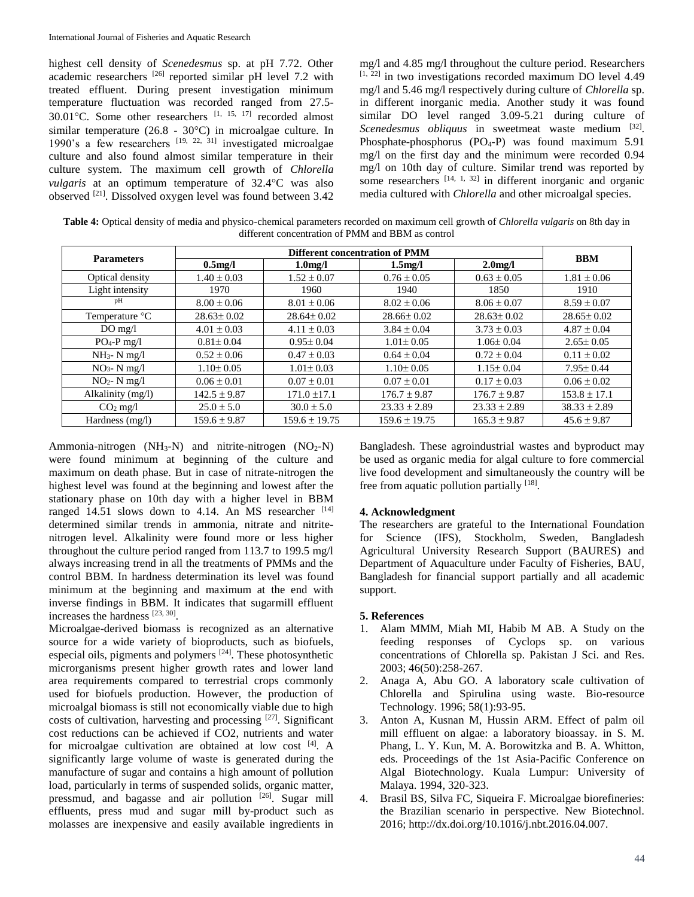highest cell density of *Scenedesmus* sp. at pH 7.72. Other academic researchers [26] reported similar pH level 7.2 with treated effluent. During present investigation minimum temperature fluctuation was recorded ranged from 27.5-  $30.01^{\circ}$ C. Some other researchers  $^{[1, 15, 17]}$  recorded almost similar temperature (26.8 - 30 $^{\circ}$ C) in microalgae culture. In 1990's a few researchers  $[19, 22, 31]$  investigated microalgae culture and also found almost similar temperature in their culture system. The maximum cell growth of *Chlorella vulgaris* at an optimum temperature of 32.4°C was also observed [21]. Dissolved oxygen level was found between 3.42

mg/l and 4.85 mg/l throughout the culture period. Researchers  $[1, 22]$  in two investigations recorded maximum DO level 4.49 mg/l and 5.46 mg/l respectively during culture of *Chlorella* sp. in different inorganic media. Another study it was found similar DO level ranged 3.09-5.21 during culture of Scenedesmus obliquus in sweetmeat waste medium <a>[32]</a>. Phosphate-phosphorus (PO4-P) was found maximum 5.91 mg/l on the first day and the minimum were recorded 0.94 mg/l on 10th day of culture. Similar trend was reported by some researchers  $[14, 1, 32]$  in different inorganic and organic media cultured with *Chlorella* and other microalgal species.

**Table 4:** Optical density of media and physico-chemical parameters recorded on maximum cell growth of *Chlorella vulgaris* on 8th day in different concentration of PMM and BBM as control

|                   | <b>Different concentration of PMM</b> |                      |                   |                      |                  |  |
|-------------------|---------------------------------------|----------------------|-------------------|----------------------|------------------|--|
| <b>Parameters</b> | $0.5$ mg/l                            | 1.0 <sub>mg</sub> /l | $1.5$ mg/l        | 2.0 <sub>m</sub> g/l | <b>BBM</b>       |  |
| Optical density   | $1.40 \pm 0.03$                       | $1.52 \pm 0.07$      | $0.76 \pm 0.05$   | $0.63 \pm 0.05$      | $1.81 \pm 0.06$  |  |
| Light intensity   | 1970                                  | 1960                 | 1940              | 1850                 | 1910             |  |
| pH                | $8.00 \pm 0.06$                       | $8.01 \pm 0.06$      | $8.02 \pm 0.06$   | $8.06 \pm 0.07$      | $8.59 \pm 0.07$  |  |
| Temperature °C    | $28.63 \pm 0.02$                      | $28.64 \pm 0.02$     | $28.66 \pm 0.02$  | $28.63 \pm 0.02$     | $28.65 \pm 0.02$ |  |
| $DO$ mg/l         | $4.01 \pm 0.03$                       | $4.11 \pm 0.03$      | $3.84 \pm 0.04$   | $3.73 \pm 0.03$      | $4.87 \pm 0.04$  |  |
| $PO_4-P$ mg/l     | $0.81 \pm 0.04$                       | $0.95 \pm 0.04$      | $1.01 \pm 0.05$   | $1.06 \pm 0.04$      | $2.65 \pm 0.05$  |  |
| $NH_3$ - N mg/l   | $0.52 \pm 0.06$                       | $0.47 \pm 0.03$      | $0.64 \pm 0.04$   | $0.72 \pm 0.04$      | $0.11 \pm 0.02$  |  |
| $NO3$ - N mg/l    | $1.10 \pm 0.05$                       | $1.01 \pm 0.03$      | $1.10 \pm 0.05$   | $1.15 \pm 0.04$      | $7.95 \pm 0.44$  |  |
| $NO2$ - N mg/l    | $0.06 \pm 0.01$                       | $0.07 \pm 0.01$      | $0.07 \pm 0.01$   | $0.17 \pm 0.03$      | $0.06 \pm 0.02$  |  |
| Alkalinity (mg/l) | $142.5 \pm 9.87$                      | $171.0 \pm 17.1$     | $176.7 \pm 9.87$  | $176.7 \pm 9.87$     | $153.8 \pm 17.1$ |  |
| $CO2$ mg/l        | $25.0 \pm 5.0$                        | $30.0 \pm 5.0$       | $23.33 \pm 2.89$  | $23.33 \pm 2.89$     | $38.33 \pm 2.89$ |  |
| Hardness (mg/l)   | $159.6 \pm 9.87$                      | $159.6 \pm 19.75$    | $159.6 \pm 19.75$ | $165.3 \pm 9.87$     | $45.6 \pm 9.87$  |  |

Ammonia-nitrogen  $(NH_3-N)$  and nitrite-nitrogen  $(NO_2-N)$ were found minimum at beginning of the culture and maximum on death phase. But in case of nitrate-nitrogen the highest level was found at the beginning and lowest after the stationary phase on 10th day with a higher level in BBM ranged 14.51 slows down to 4.14. An MS researcher  $[14]$ determined similar trends in ammonia, nitrate and nitritenitrogen level. Alkalinity were found more or less higher throughout the culture period ranged from 113.7 to 199.5 mg/l always increasing trend in all the treatments of PMMs and the control BBM. In hardness determination its level was found minimum at the beginning and maximum at the end with inverse findings in BBM. It indicates that sugarmill effluent increases the hardness [23, 30].

Microalgae-derived biomass is recognized as an alternative source for a wide variety of bioproducts, such as biofuels, especial oils, pigments and polymers  $[24]$ . These photosynthetic microrganisms present higher growth rates and lower land area requirements compared to terrestrial crops commonly used for biofuels production. However, the production of microalgal biomass is still not economically viable due to high costs of cultivation, harvesting and processing [27]. Significant cost reductions can be achieved if CO2, nutrients and water for microalgae cultivation are obtained at low cost [4]. A significantly large volume of waste is generated during the manufacture of sugar and contains a high amount of pollution load, particularly in terms of suspended solids, organic matter, pressmud, and bagasse and air pollution <sup>[26]</sup>. Sugar mill effluents, press mud and sugar mill by-product such as molasses are inexpensive and easily available ingredients in Bangladesh. These agroindustrial wastes and byproduct may be used as organic media for algal culture to fore commercial live food development and simultaneously the country will be free from aquatic pollution partially [18].

# **4. Acknowledgment**

The researchers are grateful to the International Foundation for Science (IFS), Stockholm, Sweden, Bangladesh Agricultural University Research Support (BAURES) and Department of Aquaculture under Faculty of Fisheries, BAU, Bangladesh for financial support partially and all academic support.

# **5. References**

- 1. Alam MMM, Miah MI, Habib M AB. A Study on the feeding responses of Cyclops sp. on various concentrations of Chlorella sp. Pakistan J Sci. and Res. 2003; 46(50):258-267.
- 2. Anaga A, Abu GO. A laboratory scale cultivation of Chlorella and Spirulina using waste. Bio-resource Technology. 1996; 58(1):93-95.
- 3. Anton A, Kusnan M, Hussin ARM. Effect of palm oil mill effluent on algae: a laboratory bioassay. in S. M. Phang, L. Y. Kun, M. A. Borowitzka and B. A. Whitton, eds. Proceedings of the 1st Asia-Pacific Conference on Algal Biotechnology. Kuala Lumpur: University of Malaya. 1994, 320-323.
- Brasil BS, Silva FC, Siqueira F. Microalgae biorefineries: the Brazilian scenario in perspective. New Biotechnol. 2016; http://dx.doi.org/10.1016/j.nbt.2016.04.007.